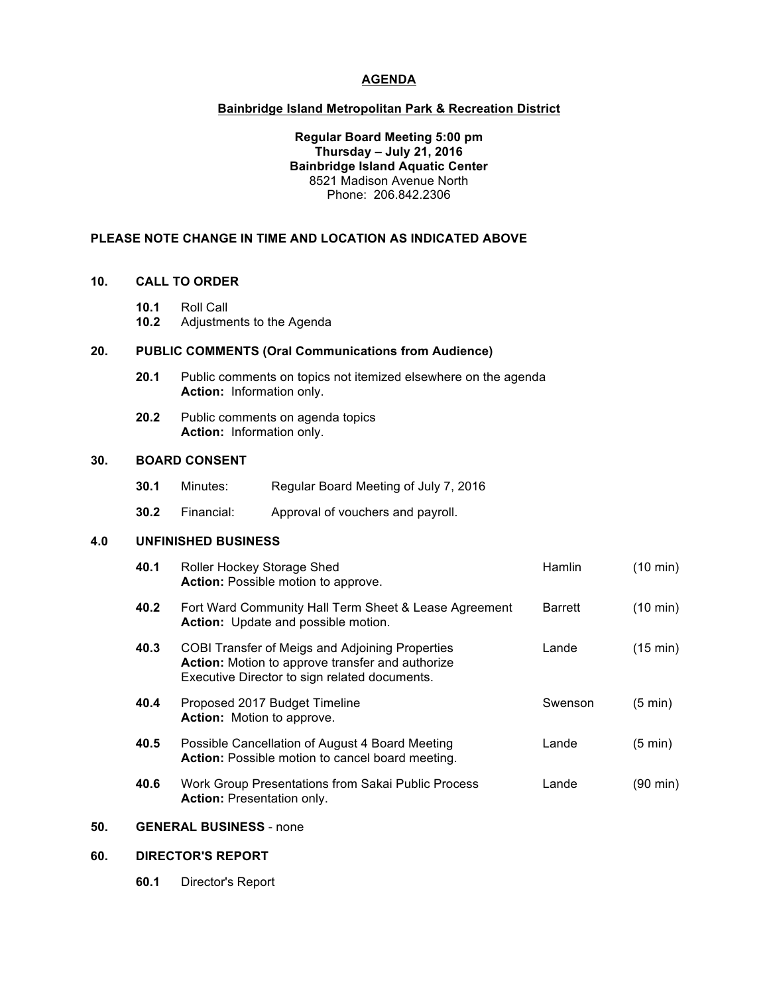## **AGENDA**

#### **Bainbridge Island Metropolitan Park & Recreation District**

#### **Regular Board Meeting 5:00 pm Thursday – July 21, 2016 Bainbridge Island Aquatic Center** 8521 Madison Avenue North Phone: 206.842.2306

## **PLEASE NOTE CHANGE IN TIME AND LOCATION AS INDICATED ABOVE**

#### **10. CALL TO ORDER**

- **10.1** Roll Call
- **10.2** Adjustments to the Agenda

## **20. PUBLIC COMMENTS (Oral Communications from Audience)**

- **20.1** Public comments on topics not itemized elsewhere on the agenda **Action:** Information only.
- **20.2** Public comments on agenda topics **Action:** Information only.

## **30. BOARD CONSENT**

- **30.1** Minutes: Regular Board Meeting of July 7, 2016
- **30.2** Financial: Approval of vouchers and payroll.

## **4.0 UNFINISHED BUSINESS**

| 40.1 | Roller Hockey Storage Shed<br><b>Action:</b> Possible motion to approve.                                                                             | Hamlin         | (10 min)           |
|------|------------------------------------------------------------------------------------------------------------------------------------------------------|----------------|--------------------|
| 40.2 | Fort Ward Community Hall Term Sheet & Lease Agreement<br>Action: Update and possible motion.                                                         | <b>Barrett</b> | $(10 \text{ min})$ |
| 40.3 | COBI Transfer of Meigs and Adjoining Properties<br>Action: Motion to approve transfer and authorize<br>Executive Director to sign related documents. | Lande          | $(15 \text{ min})$ |
| 40.4 | Proposed 2017 Budget Timeline<br>Action: Motion to approve.                                                                                          | Swenson        | (5 min)            |
| 40.5 | Possible Cancellation of August 4 Board Meeting<br>Action: Possible motion to cancel board meeting.                                                  | Lande          | (5 min)            |
| 40.6 | Work Group Presentations from Sakai Public Process<br><b>Action: Presentation only.</b>                                                              | Lande          | (90 min)           |

# **50. GENERAL BUSINESS** - none

# **60. DIRECTOR'S REPORT**

**60.1** Director's Report